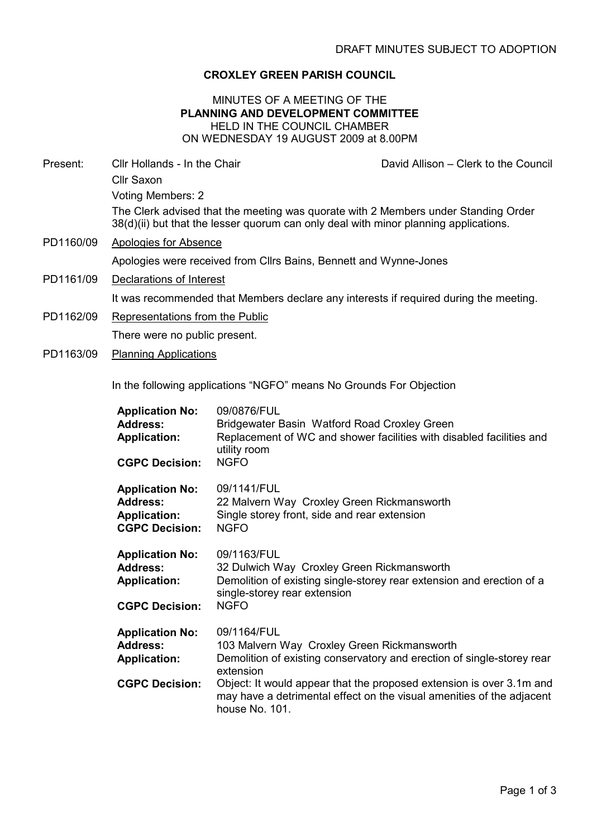# CROXLEY GREEN PARISH COUNCIL

### MINUTES OF A MEETING OF THE PLANNING AND DEVELOPMENT COMMITTEE HELD IN THE COUNCIL CHAMBER ON WEDNESDAY 19 AUGUST 2009 at 8.00PM

Present: Cllr Hollands - In the Chair Chair David Allison – Clerk to the Council Cllr Saxon Voting Members: 2 The Clerk advised that the meeting was quorate with 2 Members under Standing Order 38(d)(ii) but that the lesser quorum can only deal with minor planning applications. PD1160/09 Apologies for Absence

Apologies were received from Cllrs Bains, Bennett and Wynne-Jones

PD1161/09 Declarations of Interest

It was recommended that Members declare any interests if required during the meeting.

- PD1162/09 Representations from the Public There were no public present.
- PD1163/09 Planning Applications

In the following applications "NGFO" means No Grounds For Objection

| <b>Application No:</b><br><b>Address:</b><br><b>Application:</b><br><b>CGPC Decision:</b> | 09/0876/FUL<br>Bridgewater Basin Watford Road Croxley Green<br>Replacement of WC and shower facilities with disabled facilities and<br>utility room<br><b>NGFO</b>                                                                                                                                                   |
|-------------------------------------------------------------------------------------------|----------------------------------------------------------------------------------------------------------------------------------------------------------------------------------------------------------------------------------------------------------------------------------------------------------------------|
| <b>Application No:</b><br><b>Address:</b><br><b>Application:</b><br><b>CGPC Decision:</b> | 09/1141/FUL<br>22 Malvern Way Croxley Green Rickmansworth<br>Single storey front, side and rear extension<br><b>NGFO</b>                                                                                                                                                                                             |
| <b>Application No:</b><br><b>Address:</b><br><b>Application:</b><br><b>CGPC Decision:</b> | 09/1163/FUL<br>32 Dulwich Way Croxley Green Rickmansworth<br>Demolition of existing single-storey rear extension and erection of a<br>single-storey rear extension<br><b>NGFO</b>                                                                                                                                    |
| <b>Application No:</b><br>Address:<br><b>Application:</b><br><b>CGPC Decision:</b>        | 09/1164/FUL<br>103 Malvern Way Croxley Green Rickmansworth<br>Demolition of existing conservatory and erection of single-storey rear<br>extension<br>Object: It would appear that the proposed extension is over 3.1m and<br>may have a detrimental effect on the visual amenities of the adjacent<br>house No. 101. |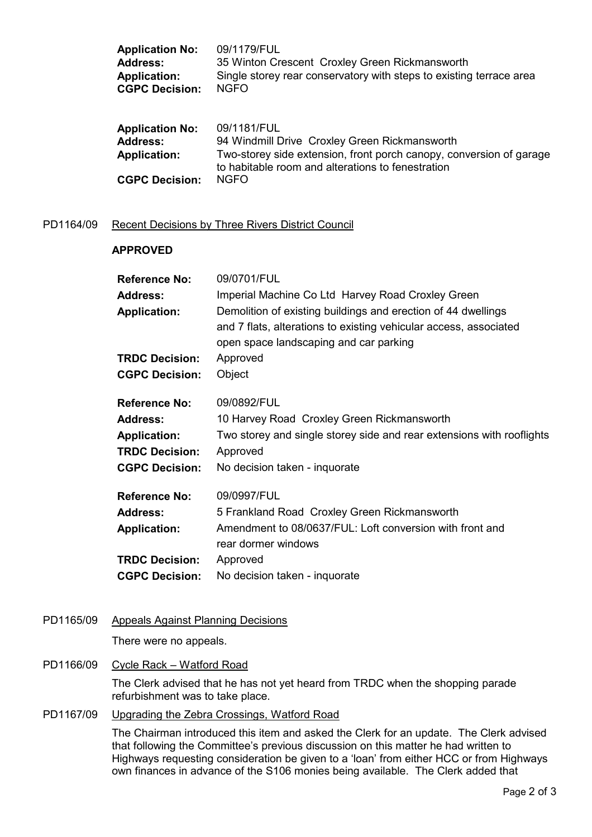| <b>Application No:</b> | 09/1179/FUL                                                         |
|------------------------|---------------------------------------------------------------------|
| <b>Address:</b>        | 35 Winton Crescent Croxley Green Rickmansworth                      |
| <b>Application:</b>    | Single storey rear conservatory with steps to existing terrace area |
| <b>CGPC Decision:</b>  | <b>NGFO</b>                                                         |
| <b>Application No:</b> | 09/1181/FUL                                                         |
| <b>Address:</b>        | 94 Windmill Drive Croxley Green Rickmansworth                       |
| <b>Application:</b>    | Two-storey side extension, front porch canopy, conversion of garage |
| <b>CGPC Decision:</b>  | to habitable room and alterations to fenestration<br><b>NGFO</b>    |

#### PD1164/09 Recent Decisions by Three Rivers District Council

#### APPROVED

| <b>Reference No:</b>  | 09/0701/FUL                                                                                                 |
|-----------------------|-------------------------------------------------------------------------------------------------------------|
| <b>Address:</b>       | Imperial Machine Co Ltd Harvey Road Croxley Green                                                           |
| <b>Application:</b>   | Demolition of existing buildings and erection of 44 dwellings                                               |
|                       | and 7 flats, alterations to existing vehicular access, associated<br>open space landscaping and car parking |
| <b>TRDC Decision:</b> | Approved                                                                                                    |
|                       |                                                                                                             |
| <b>CGPC Decision:</b> | Object                                                                                                      |
| <b>Reference No:</b>  | 09/0892/FUL                                                                                                 |
| <b>Address:</b>       | 10 Harvey Road Croxley Green Rickmansworth                                                                  |
| <b>Application:</b>   | Two storey and single storey side and rear extensions with rooflights                                       |
| <b>TRDC Decision:</b> | Approved                                                                                                    |
| <b>CGPC Decision:</b> | No decision taken - inquorate                                                                               |
| <b>Reference No:</b>  | 09/0997/FUL                                                                                                 |
| <b>Address:</b>       | 5 Frankland Road Croxley Green Rickmansworth                                                                |
| <b>Application:</b>   | Amendment to 08/0637/FUL: Loft conversion with front and                                                    |
|                       | rear dormer windows                                                                                         |
| <b>TRDC Decision:</b> | Approved                                                                                                    |
| <b>CGPC Decision:</b> | No decision taken - inquorate                                                                               |

PD1165/09 Appeals Against Planning Decisions

There were no appeals.

#### PD1166/09 Cycle Rack – Watford Road

The Clerk advised that he has not yet heard from TRDC when the shopping parade refurbishment was to take place.

# PD1167/09 Upgrading the Zebra Crossings, Watford Road

The Chairman introduced this item and asked the Clerk for an update. The Clerk advised that following the Committee's previous discussion on this matter he had written to Highways requesting consideration be given to a 'loan' from either HCC or from Highways own finances in advance of the S106 monies being available. The Clerk added that